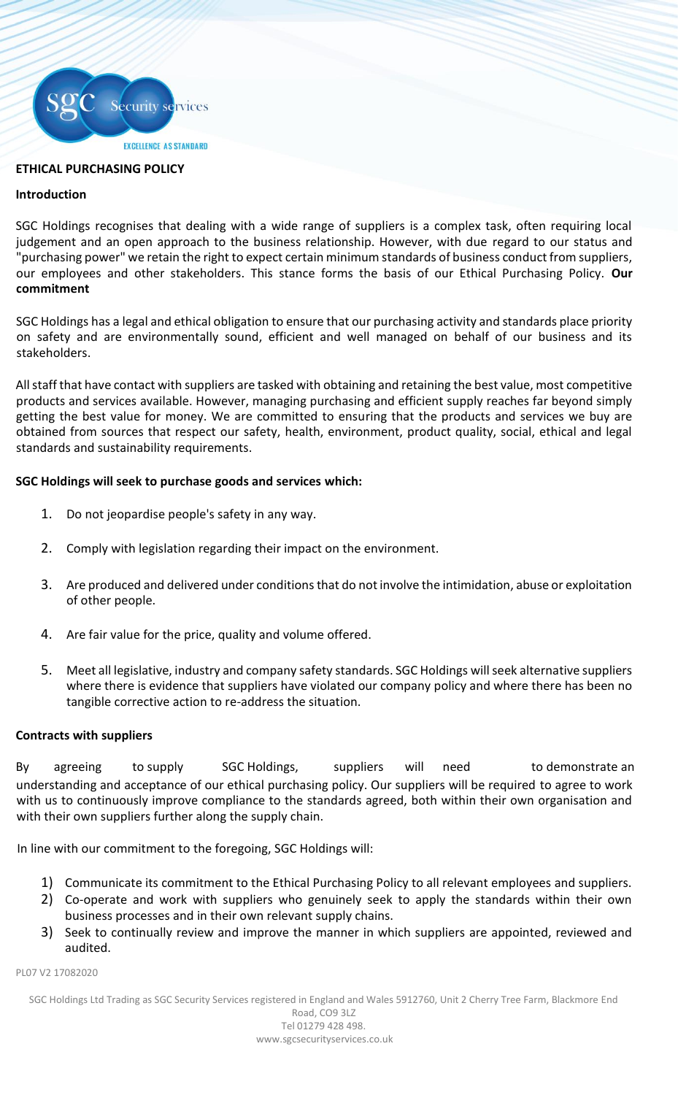

# **ETHICAL PURCHASING POLICY**

### **Introduction**

SGC Holdings recognises that dealing with a wide range of suppliers is a complex task, often requiring local judgement and an open approach to the business relationship. However, with due regard to our status and "purchasing power" we retain the right to expect certain minimum standards of business conduct from suppliers, our employees and other stakeholders. This stance forms the basis of our Ethical Purchasing Policy. **Our commitment** 

SGC Holdings has a legal and ethical obligation to ensure that our purchasing activity and standards place priority on safety and are environmentally sound, efficient and well managed on behalf of our business and its stakeholders.

All staff that have contact with suppliers are tasked with obtaining and retaining the best value, most competitive products and services available. However, managing purchasing and efficient supply reaches far beyond simply getting the best value for money. We are committed to ensuring that the products and services we buy are obtained from sources that respect our safety, health, environment, product quality, social, ethical and legal standards and sustainability requirements.

### **SGC Holdings will seek to purchase goods and services which:**

- 1. Do not jeopardise people's safety in any way.
- 2. Comply with legislation regarding their impact on the environment.
- 3. Are produced and delivered under conditions that do not involve the intimidation, abuse or exploitation of other people.
- 4. Are fair value for the price, quality and volume offered.
- 5. Meet all legislative, industry and company safety standards. SGC Holdings will seek alternative suppliers where there is evidence that suppliers have violated our company policy and where there has been no tangible corrective action to re-address the situation.

### **Contracts with suppliers**

By agreeing to supply SGC Holdings, suppliers will need to demonstrate an understanding and acceptance of our ethical purchasing policy. Our suppliers will be required to agree to work with us to continuously improve compliance to the standards agreed, both within their own organisation and with their own suppliers further along the supply chain.

In line with our commitment to the foregoing, SGC Holdings will:

- 1) Communicate its commitment to the Ethical Purchasing Policy to all relevant employees and suppliers.
- 2) Co-operate and work with suppliers who genuinely seek to apply the standards within their own business processes and in their own relevant supply chains.
- 3) Seek to continually review and improve the manner in which suppliers are appointed, reviewed and audited.

#### PL07 V2 17082020

SGC Holdings Ltd Trading as SGC Security Services registered in England and Wales 5912760, Unit 2 Cherry Tree Farm, Blackmore End